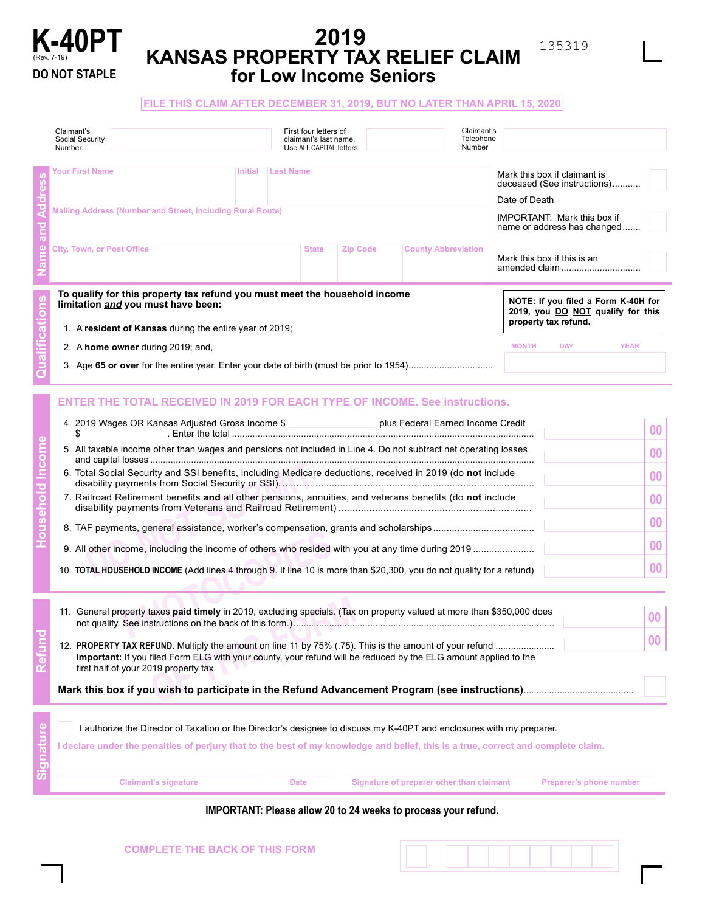

# **2019 KANSAS PROPERTY TAX RELIEF CLAIM for Low Income Seniors**

| Claimant's<br>Social Security<br>Number                                                                                                                                                                                                                                                                                                                                                                                                                                                                                                                                                                                                                                       | First four letters of<br>claimant's last name.<br>Use ALL CAPITAL letters. |                                                                                                                                                                       |                 | Number                                    | Claimant's<br>Telephone |                                                                                                                |                                                    |
|-------------------------------------------------------------------------------------------------------------------------------------------------------------------------------------------------------------------------------------------------------------------------------------------------------------------------------------------------------------------------------------------------------------------------------------------------------------------------------------------------------------------------------------------------------------------------------------------------------------------------------------------------------------------------------|----------------------------------------------------------------------------|-----------------------------------------------------------------------------------------------------------------------------------------------------------------------|-----------------|-------------------------------------------|-------------------------|----------------------------------------------------------------------------------------------------------------|----------------------------------------------------|
| <b>Your First Name</b><br>Initial Last Name<br>Mailing Address (Number and Street, including Rural Route)                                                                                                                                                                                                                                                                                                                                                                                                                                                                                                                                                                     |                                                                            | Mark this box if claimant is<br>deceased (See instructions)<br>Date of Death Designation Control<br><b>IMPORTANT: Mark this box if</b><br>name or address has changed |                 |                                           |                         |                                                                                                                |                                                    |
| <b>City, Town, or Post Office</b>                                                                                                                                                                                                                                                                                                                                                                                                                                                                                                                                                                                                                                             |                                                                            | <b>State</b>                                                                                                                                                          | <b>Zip Code</b> | <b>County Abbreviation</b>                |                         | Mark this box if this is an<br>amended claim                                                                   |                                                    |
| To qualify for this property tax refund you must meet the household income<br>limitation and you must have been:<br>1. A resident of Kansas during the entire year of 2019;<br>2. A home owner during 2019; and,                                                                                                                                                                                                                                                                                                                                                                                                                                                              |                                                                            |                                                                                                                                                                       |                 |                                           | <b>MONTH</b>            | NOTE: If you filed a Form K-40H for<br>2019, you DO NOT qualify for this<br>property tax refund.<br><b>DAY</b> | <b>YEAR</b>                                        |
| <b>ENTER THE TOTAL RECEIVED IN 2019 FOR EACH TYPE OF INCOME. See instructions.</b><br>4. 2019 Wages OR Kansas Adjusted Gross Income \$ _______________________ plus Federal Earned Income Credit<br>\$<br>5. All taxable income other than wages and pensions not included in Line 4. Do not subtract net operating losses<br>6. Total Social Security and SSI benefits, including Medicare deductions, received in 2019 (do not include<br>7. Railroad Retirement benefits and all other pensions, annuities, and veterans benefits (do not include<br>10. TOTAL HOUSEHOLD INCOME (Add lines 4 through 9. If line 10 is more than \$20,300, you do not qualify for a refund) |                                                                            |                                                                                                                                                                       |                 |                                           |                         |                                                                                                                | 00<br>00<br>00<br>00<br>00<br>0 <sub>0</sub><br>00 |
| 11. General property taxes paid timely in 2019, excluding specials. (Tax on property valued at more than \$350,000 does<br>Important: If you filed Form ELG with your county, your refund will be reduced by the ELG amount applied to the<br>first half of your 2019 property tax.                                                                                                                                                                                                                                                                                                                                                                                           |                                                                            |                                                                                                                                                                       |                 |                                           |                         |                                                                                                                | 00<br>00                                           |
| I authorize the Director of Taxation or the Director's designee to discuss my K-40PT and enclosures with my preparer.<br>I declare under the penalties of perjury that to the best of my knowledge and belief, this is a true, correct and complete claim.                                                                                                                                                                                                                                                                                                                                                                                                                    |                                                                            |                                                                                                                                                                       |                 |                                           |                         |                                                                                                                |                                                    |
| <b>Claimant's signature</b>                                                                                                                                                                                                                                                                                                                                                                                                                                                                                                                                                                                                                                                   | <b>Date</b>                                                                |                                                                                                                                                                       |                 | Signature of preparer other than claimant |                         | Preparer's phone number                                                                                        |                                                    |

**IMPORTANT: Please allow 20 to 24 weeks to process your refund.**



135319